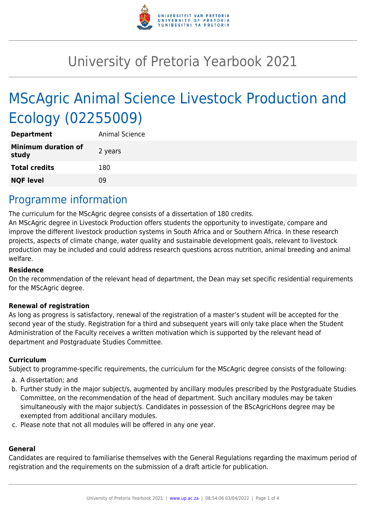

# University of Pretoria Yearbook 2021

# MScAgric Animal Science Livestock Production and Ecology (02255009)

| <b>Department</b>                   | Animal Science |
|-------------------------------------|----------------|
| <b>Minimum duration of</b><br>study | 2 years        |
| <b>Total credits</b>                | 180            |
| <b>NQF level</b>                    | 09             |

### Programme information

The curriculum for the MScAgric degree consists of a dissertation of 180 credits.

An MScAgric degree in Livestock Production offers students the opportunity to investigate, compare and improve the different livestock production systems in South Africa and or Southern Africa. In these research projects, aspects of climate change, water quality and sustainable development goals, relevant to livestock production may be included and could address research questions across nutrition, animal breeding and animal welfare.

#### **Residence**

On the recommendation of the relevant head of department, the Dean may set specific residential requirements for the MScAgric degree.

#### **Renewal of registration**

As long as progress is satisfactory, renewal of the registration of a master's student will be accepted for the second year of the study. Registration for a third and subsequent years will only take place when the Student Administration of the Faculty receives a written motivation which is supported by the relevant head of department and Postgraduate Studies Committee.

#### **Curriculum**

Subject to programme-specific requirements, the curriculum for the MScAgric degree consists of the following:

- a. A dissertation; and
- b. Further study in the major subject/s, augmented by ancillary modules prescribed by the Postgraduate Studies Committee, on the recommendation of the head of department. Such ancillary modules may be taken simultaneously with the major subject/s. Candidates in possession of the BScAgricHons degree may be exempted from additional ancillary modules.
- c. Please note that not all modules will be offered in any one year.

#### **General**

Candidates are required to familiarise themselves with the General Regulations regarding the maximum period of registration and the requirements on the submission of a draft article for publication.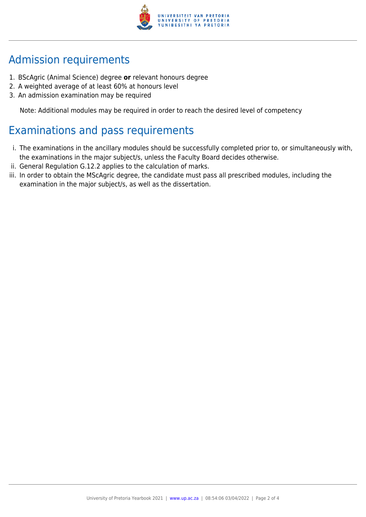

## Admission requirements

- 1. BScAgric (Animal Science) degree **or** relevant honours degree
- 2. A weighted average of at least 60% at honours level
- 3. An admission examination may be required

Note: Additional modules may be required in order to reach the desired level of competency

## Examinations and pass requirements

- i. The examinations in the ancillary modules should be successfully completed prior to, or simultaneously with, the examinations in the major subject/s, unless the Faculty Board decides otherwise.
- ii. General Regulation G.12.2 applies to the calculation of marks.
- iii. In order to obtain the MScAgric degree, the candidate must pass all prescribed modules, including the examination in the major subject/s, as well as the dissertation.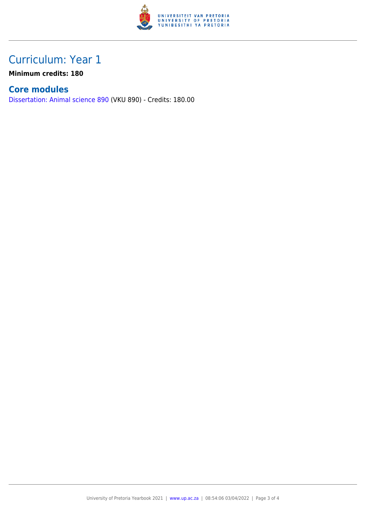

## Curriculum: Year 1

**Minimum credits: 180**

### **Core modules**

[Dissertation: Animal science 890](https://www.up.ac.za/yearbooks/2021/modules/view/VKU 890) (VKU 890) - Credits: 180.00